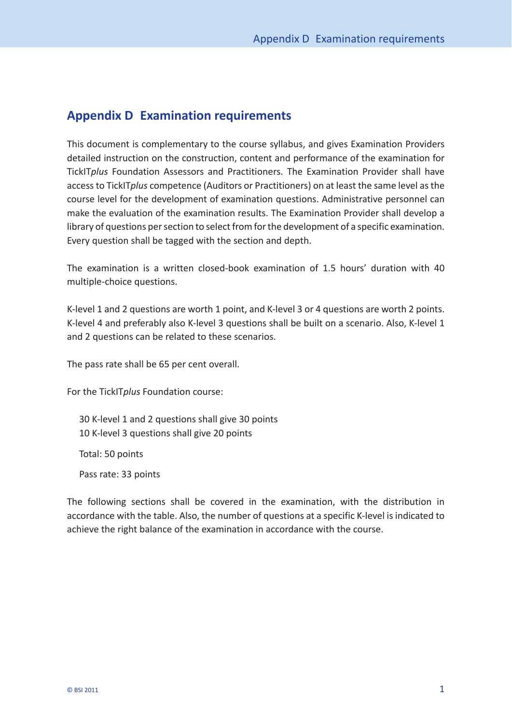## **Appendix D Examination requirements**

This document is complementary to the course syllabus, and gives Examination Providers detailed instruction on the construction, content and performance of the examination for TickIT*plus* Foundation Assessors and Practitioners. The Examination Provider shall have access to TickIT*plus* competence (Auditors or Practitioners) on at least the same level as the course level for the development of examination questions. Administrative personnel can make the evaluation of the examination results. The Examination Provider shall develop a library of questions per section to select from for the development of a specific examination. Every question shall be tagged with the section and depth.

The examination is a written closed- book examination of 1.5 hours' duration with 40 multiple-choice questions.

K-level 1 and 2 questions are worth 1 point, and K-level 3 or 4 questions are worth 2 points. K-level 4 and preferably also K-level 3 questions shall be built on a scenario. Also, K-level 1 and 2 questions can be related to these scenarios.

The pass rate shall be 65 per cent overall.

For the TickIT*plus* Foundation course:

30 K-level 1 and 2 questions shall give 30 points 10 K-level 3 questions shall give 20 points

Total: 50 points

Pass rate: 33 points

The following sections shall be covered in the examination, with the distribution in accordance with the table. Also, the number of questions at a specific K- level is indicated to achieve the right balance of the examination in accordance with the course.